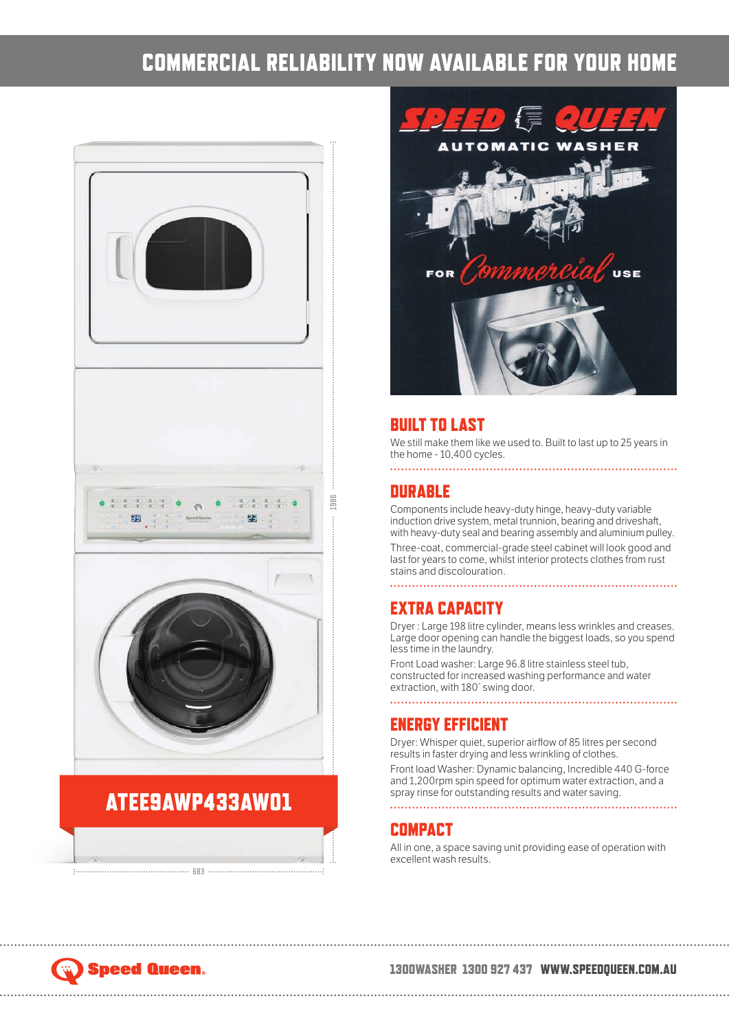## COMMERCIAL RELIABILITY NOW AVAILABLE FOR YOUR HOME



## ATEE9AWP433AW01

683



## BUILT TO LAST

We still make them like we used to. Built to last up to 25 years in the home - 10,400 cycles.

## **DURABLE**

Components include heavy-duty hinge, heavy-duty variable induction drive system, metal trunnion, bearing and driveshaft, with heavy-duty seal and bearing assembly and aluminium pulley.

Three-coat, commercial-grade steel cabinet will look good and last for years to come, whilst interior protects clothes from rust stains and discolouration.

## EXTRA CAPACITY

Dryer : Large 198 litre cylinder, means less wrinkles and creases. Large door opening can handle the biggest loads, so you spend less time in the laundry.

Front Load washer: Large 96.8 litre stainless steel tub, constructed for increased washing performance and water extraction, with 180° swing door.

#### ENERGY EFFICIENT

Dryer: Whisper quiet, superior airflow of 85 litres per second results in faster drying and less wrinkling of clothes.

Front load Washer: Dynamic balancing, Incredible 440 G-force and 1,200rpm spin speed for optimum water extraction, and a spray rinse for outstanding results and water saving.

### **COMPACT**

All in one, a space saving unit providing ease of operation with excellent wash results.

# Speed Queen.

#### 1300WASHER 1300 927 437 WWW.SPEEDQUEEN.COM.AU